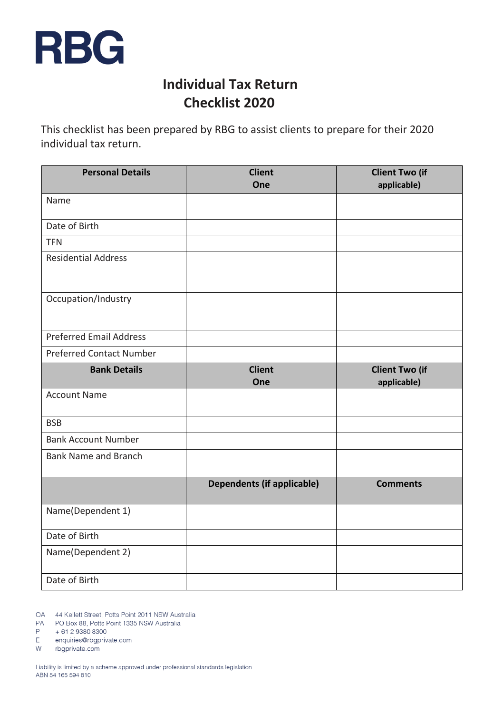

#### **Individual Tax Return Checklist 2020**

This checklist has been prepared by RBG to assist clients to prepare for their 2020 individual tax return.

| <b>Personal Details</b>         | <b>Client</b><br>One              | <b>Client Two (if</b>                |
|---------------------------------|-----------------------------------|--------------------------------------|
|                                 |                                   | applicable)                          |
| Name                            |                                   |                                      |
| Date of Birth                   |                                   |                                      |
| <b>TFN</b>                      |                                   |                                      |
| <b>Residential Address</b>      |                                   |                                      |
| Occupation/Industry             |                                   |                                      |
| <b>Preferred Email Address</b>  |                                   |                                      |
| <b>Preferred Contact Number</b> |                                   |                                      |
| <b>Bank Details</b>             | <b>Client</b><br>One              | <b>Client Two (if</b><br>applicable) |
| <b>Account Name</b>             |                                   |                                      |
| <b>BSB</b>                      |                                   |                                      |
| <b>Bank Account Number</b>      |                                   |                                      |
| <b>Bank Name and Branch</b>     |                                   |                                      |
|                                 | <b>Dependents (if applicable)</b> | <b>Comments</b>                      |
| Name(Dependent 1)               |                                   |                                      |
| Date of Birth                   |                                   |                                      |
| Name(Dependent 2)               |                                   |                                      |
| Date of Birth                   |                                   |                                      |

OA 44 Kellett Street, Potts Point 2011 NSW Australia<br>PA PO Box 88, Potts Point 1335 NSW Australia<br>P + 61 2 9380 8300

P<sub>1</sub> +61293808300

E enquiries@rbgprivate.com

W rbgprivate.com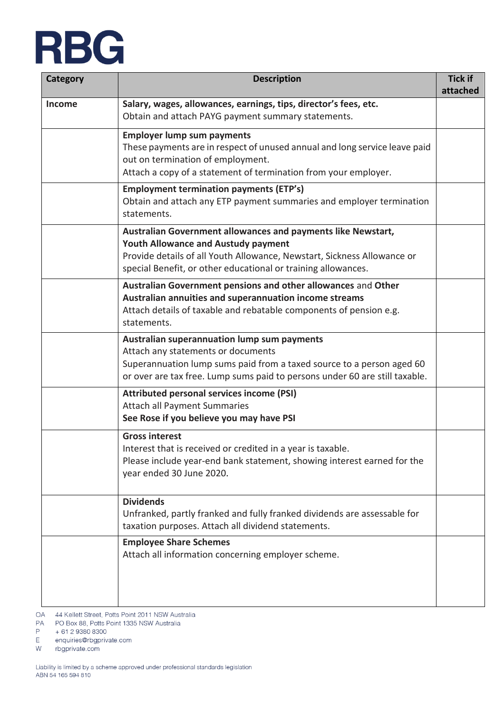| Category      | <b>Description</b>                                                                                                                                                                                                                                     | <b>Tick if</b><br>attached |
|---------------|--------------------------------------------------------------------------------------------------------------------------------------------------------------------------------------------------------------------------------------------------------|----------------------------|
| <b>Income</b> | Salary, wages, allowances, earnings, tips, director's fees, etc.<br>Obtain and attach PAYG payment summary statements.                                                                                                                                 |                            |
|               | <b>Employer lump sum payments</b><br>These payments are in respect of unused annual and long service leave paid<br>out on termination of employment.<br>Attach a copy of a statement of termination from your employer.                                |                            |
|               | <b>Employment termination payments (ETP's)</b><br>Obtain and attach any ETP payment summaries and employer termination<br>statements.                                                                                                                  |                            |
|               | Australian Government allowances and payments like Newstart,<br><b>Youth Allowance and Austudy payment</b><br>Provide details of all Youth Allowance, Newstart, Sickness Allowance or<br>special Benefit, or other educational or training allowances. |                            |
|               | Australian Government pensions and other allowances and Other<br>Australian annuities and superannuation income streams<br>Attach details of taxable and rebatable components of pension e.g.<br>statements.                                           |                            |
|               | Australian superannuation lump sum payments<br>Attach any statements or documents<br>Superannuation lump sums paid from a taxed source to a person aged 60<br>or over are tax free. Lump sums paid to persons under 60 are still taxable.              |                            |
|               | <b>Attributed personal services income (PSI)</b><br><b>Attach all Payment Summaries</b><br>See Rose if you believe you may have PSI                                                                                                                    |                            |
|               | <b>Gross interest</b><br>Interest that is received or credited in a year is taxable.<br>Please include year-end bank statement, showing interest earned for the<br>year ended 30 June 2020.                                                            |                            |
|               | <b>Dividends</b><br>Unfranked, partly franked and fully franked dividends are assessable for<br>taxation purposes. Attach all dividend statements.                                                                                                     |                            |
|               | <b>Employee Share Schemes</b><br>Attach all information concerning employer scheme.                                                                                                                                                                    |                            |

OA 44 Kellett Street, Potts Point 2011 NSW Australia

- PA PO Box 88, Potts Point 1335 NSW Australia
- P. +61293808300
- $\mathsf{E}^$ enquiries@rbgprivate.com
- W rbgprivate.com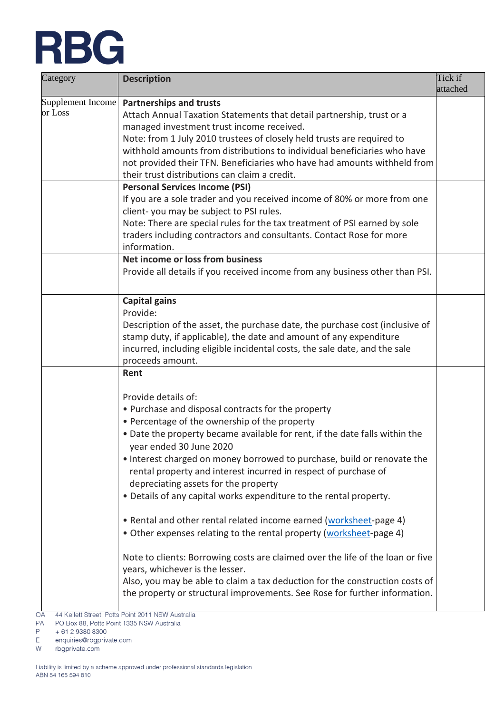| Category                     | <b>Description</b>                                                                                                | Tick if<br>attached |
|------------------------------|-------------------------------------------------------------------------------------------------------------------|---------------------|
| Supplement Income<br>or Loss | <b>Partnerships and trusts</b><br>Attach Annual Taxation Statements that detail partnership, trust or a           |                     |
|                              | managed investment trust income received.                                                                         |                     |
|                              | Note: from 1 July 2010 trustees of closely held trusts are required to                                            |                     |
|                              | withhold amounts from distributions to individual beneficiaries who have                                          |                     |
|                              | not provided their TFN. Beneficiaries who have had amounts withheld from                                          |                     |
|                              | their trust distributions can claim a credit.                                                                     |                     |
|                              | <b>Personal Services Income (PSI)</b>                                                                             |                     |
|                              | If you are a sole trader and you received income of 80% or more from one                                          |                     |
|                              | client-you may be subject to PSI rules.                                                                           |                     |
|                              | Note: There are special rules for the tax treatment of PSI earned by sole                                         |                     |
|                              | traders including contractors and consultants. Contact Rose for more                                              |                     |
|                              | information.                                                                                                      |                     |
|                              | Net income or loss from business                                                                                  |                     |
|                              | Provide all details if you received income from any business other than PSI.                                      |                     |
|                              | <b>Capital gains</b><br>Provide:                                                                                  |                     |
|                              | Description of the asset, the purchase date, the purchase cost (inclusive of                                      |                     |
|                              | stamp duty, if applicable), the date and amount of any expenditure                                                |                     |
|                              | incurred, including eligible incidental costs, the sale date, and the sale                                        |                     |
|                              | proceeds amount.                                                                                                  |                     |
|                              | Rent                                                                                                              |                     |
|                              | Provide details of:                                                                                               |                     |
|                              | • Purchase and disposal contracts for the property                                                                |                     |
|                              | • Percentage of the ownership of the property                                                                     |                     |
|                              | . Date the property became available for rent, if the date falls within the<br>year ended 30 June 2020            |                     |
|                              | . Interest charged on money borrowed to purchase, build or renovate the                                           |                     |
|                              | rental property and interest incurred in respect of purchase of                                                   |                     |
|                              | depreciating assets for the property                                                                              |                     |
|                              | • Details of any capital works expenditure to the rental property.                                                |                     |
|                              | • Rental and other rental related income earned (worksheet-page 4)                                                |                     |
|                              | • Other expenses relating to the rental property (worksheet-page 4)                                               |                     |
|                              | Note to clients: Borrowing costs are claimed over the life of the loan or five<br>years, whichever is the lesser. |                     |
|                              | Also, you may be able to claim a tax deduction for the construction costs of                                      |                     |
|                              | the property or structural improvements. See Rose for further information.                                        |                     |
|                              | 44 Kellett Street, Potts Point 2011 NSW Australia                                                                 |                     |

 $\circ$ PA PO Box 88, Potts Point 1335 NSW Australia

- $P$
- + 61 2 9380 8300
- $\mathsf E$ enquiries@rbgprivate.com
- ${\sf W}$ rbgprivate.com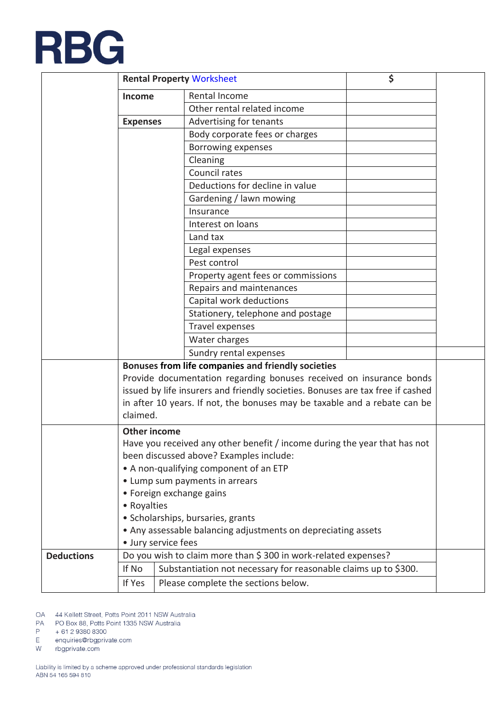<span id="page-3-0"></span>

|                   |                                   | <b>Rental Property Worksheet</b>                                                                                                                                                                                                   | \$ |
|-------------------|-----------------------------------|------------------------------------------------------------------------------------------------------------------------------------------------------------------------------------------------------------------------------------|----|
|                   | <b>Income</b>                     | Rental Income                                                                                                                                                                                                                      |    |
|                   |                                   | Other rental related income                                                                                                                                                                                                        |    |
|                   | <b>Expenses</b>                   | Advertising for tenants                                                                                                                                                                                                            |    |
|                   |                                   | Body corporate fees or charges                                                                                                                                                                                                     |    |
|                   |                                   | Borrowing expenses                                                                                                                                                                                                                 |    |
|                   |                                   | Cleaning                                                                                                                                                                                                                           |    |
|                   |                                   | Council rates                                                                                                                                                                                                                      |    |
|                   |                                   | Deductions for decline in value                                                                                                                                                                                                    |    |
|                   |                                   | Gardening / lawn mowing                                                                                                                                                                                                            |    |
|                   |                                   | Insurance                                                                                                                                                                                                                          |    |
|                   |                                   | Interest on loans                                                                                                                                                                                                                  |    |
|                   |                                   | Land tax                                                                                                                                                                                                                           |    |
|                   |                                   | Legal expenses                                                                                                                                                                                                                     |    |
|                   |                                   | Pest control                                                                                                                                                                                                                       |    |
|                   |                                   | Property agent fees or commissions                                                                                                                                                                                                 |    |
|                   |                                   | Repairs and maintenances                                                                                                                                                                                                           |    |
|                   |                                   | Capital work deductions                                                                                                                                                                                                            |    |
|                   |                                   | Stationery, telephone and postage                                                                                                                                                                                                  |    |
|                   |                                   | Travel expenses                                                                                                                                                                                                                    |    |
|                   |                                   | Water charges                                                                                                                                                                                                                      |    |
|                   |                                   | Sundry rental expenses                                                                                                                                                                                                             |    |
|                   |                                   | Bonuses from life companies and friendly societies                                                                                                                                                                                 |    |
|                   | claimed.                          | Provide documentation regarding bonuses received on insurance bonds<br>issued by life insurers and friendly societies. Bonuses are tax free if cashed<br>in after 10 years. If not, the bonuses may be taxable and a rebate can be |    |
|                   | <b>Other income</b>               | Have you received any other benefit / income during the year that has not<br>been discussed above? Examples include:<br>• A non-qualifying component of an ETP                                                                     |    |
|                   |                                   | • Lump sum payments in arrears                                                                                                                                                                                                     |    |
|                   |                                   | • Foreign exchange gains                                                                                                                                                                                                           |    |
|                   | • Royalties                       |                                                                                                                                                                                                                                    |    |
|                   | · Scholarships, bursaries, grants |                                                                                                                                                                                                                                    |    |
|                   |                                   | • Any assessable balancing adjustments on depreciating assets                                                                                                                                                                      |    |
|                   |                                   | · Jury service fees                                                                                                                                                                                                                |    |
| <b>Deductions</b> |                                   | Do you wish to claim more than \$ 300 in work-related expenses?                                                                                                                                                                    |    |
|                   | If No                             | Substantiation not necessary for reasonable claims up to \$300.                                                                                                                                                                    |    |
|                   | If Yes                            | Please complete the sections below.                                                                                                                                                                                                |    |

OA 44 Kellett Street, Potts Point 2011 NSW Australia

- PA PO Box 88, Potts Point 1335 NSW Australia
- P. +61293808300
- $\mathsf{E}^$ enquiries@rbgprivate.com
- W rbgprivate.com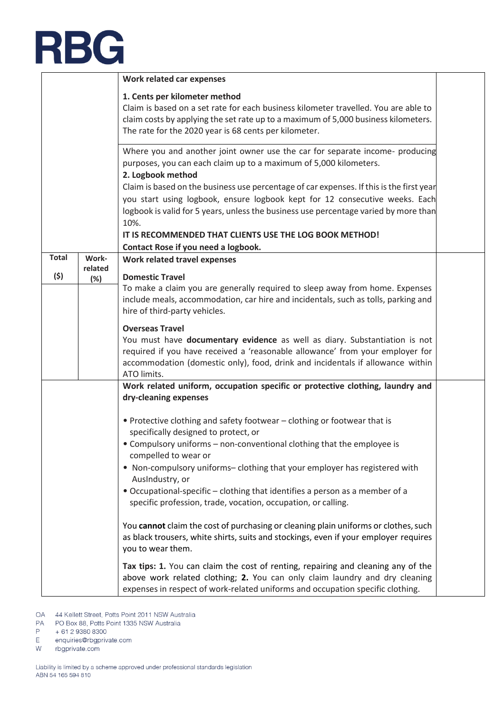| Work related car expenses |                   |                                                                                                                                                                                                                                                                                                                                                   |  |
|---------------------------|-------------------|---------------------------------------------------------------------------------------------------------------------------------------------------------------------------------------------------------------------------------------------------------------------------------------------------------------------------------------------------|--|
|                           |                   | 1. Cents per kilometer method<br>Claim is based on a set rate for each business kilometer travelled. You are able to<br>claim costs by applying the set rate up to a maximum of 5,000 business kilometers.<br>The rate for the 2020 year is 68 cents per kilometer.                                                                               |  |
|                           |                   | Where you and another joint owner use the car for separate income- producing<br>purposes, you can each claim up to a maximum of 5,000 kilometers.<br>2. Logbook method<br>Claim is based on the business use percentage of car expenses. If this is the first year<br>you start using logbook, ensure logbook kept for 12 consecutive weeks. Each |  |
|                           |                   | logbook is valid for 5 years, unless the business use percentage varied by more than<br>10%.                                                                                                                                                                                                                                                      |  |
|                           |                   | IT IS RECOMMENDED THAT CLIENTS USE THE LOG BOOK METHOD!<br>Contact Rose if you need a logbook.                                                                                                                                                                                                                                                    |  |
| <b>Total</b>              | Work-             | Work related travel expenses                                                                                                                                                                                                                                                                                                                      |  |
| (\$)                      | related<br>$(\%)$ | <b>Domestic Travel</b>                                                                                                                                                                                                                                                                                                                            |  |
|                           |                   | To make a claim you are generally required to sleep away from home. Expenses<br>include meals, accommodation, car hire and incidentals, such as tolls, parking and<br>hire of third-party vehicles.                                                                                                                                               |  |
|                           |                   | <b>Overseas Travel</b><br>You must have documentary evidence as well as diary. Substantiation is not<br>required if you have received a 'reasonable allowance' from your employer for<br>accommodation (domestic only), food, drink and incidentals if allowance within<br>ATO limits.                                                            |  |
|                           |                   | Work related uniform, occupation specific or protective clothing, laundry and<br>dry-cleaning expenses                                                                                                                                                                                                                                            |  |
|                           |                   | • Protective clothing and safety footwear - clothing or footwear that is<br>specifically designed to protect, or                                                                                                                                                                                                                                  |  |
|                           |                   | • Compulsory uniforms - non-conventional clothing that the employee is<br>compelled to wear or                                                                                                                                                                                                                                                    |  |
|                           |                   | • Non-compulsory uniforms-clothing that your employer has registered with<br>AusIndustry, or                                                                                                                                                                                                                                                      |  |
|                           |                   | • Occupational-specific - clothing that identifies a person as a member of a<br>specific profession, trade, vocation, occupation, or calling.                                                                                                                                                                                                     |  |
|                           |                   | You cannot claim the cost of purchasing or cleaning plain uniforms or clothes, such<br>as black trousers, white shirts, suits and stockings, even if your employer requires<br>you to wear them.                                                                                                                                                  |  |
|                           |                   | Tax tips: 1. You can claim the cost of renting, repairing and cleaning any of the<br>above work related clothing; 2. You can only claim laundry and dry cleaning<br>expenses in respect of work-related uniforms and occupation specific clothing.                                                                                                |  |

OA 44 Kellett Street, Potts Point 2011 NSW Australia

- P. +61293808300
- $E$ enquiries@rbgprivate.com
- W rbgprivate.com

PA PO Box 88, Potts Point 1335 NSW Australia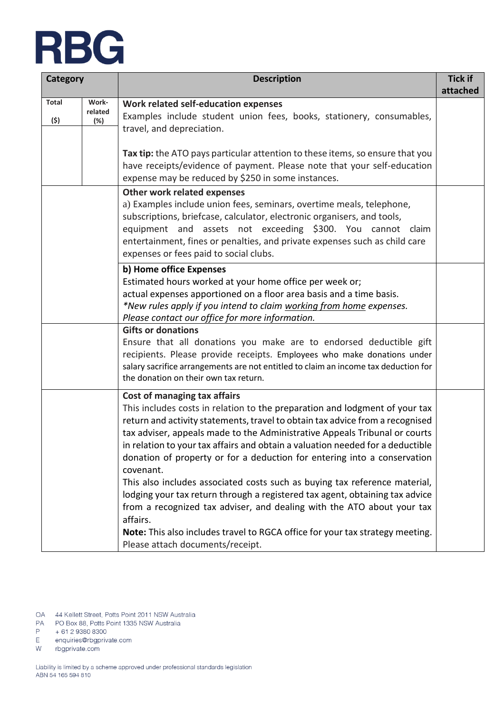| <b>Description</b><br><b>Category</b> |                         | <b>Tick if</b>                                                                                                                                                                                                                                                                                                                                                                                                                                                                                                                                                                                                                                                                                                                                                                                                                 |          |
|---------------------------------------|-------------------------|--------------------------------------------------------------------------------------------------------------------------------------------------------------------------------------------------------------------------------------------------------------------------------------------------------------------------------------------------------------------------------------------------------------------------------------------------------------------------------------------------------------------------------------------------------------------------------------------------------------------------------------------------------------------------------------------------------------------------------------------------------------------------------------------------------------------------------|----------|
|                                       |                         |                                                                                                                                                                                                                                                                                                                                                                                                                                                                                                                                                                                                                                                                                                                                                                                                                                | attached |
| Total<br>(5)                          | Work-<br>related<br>(%) | Work related self-education expenses<br>Examples include student union fees, books, stationery, consumables,<br>travel, and depreciation.                                                                                                                                                                                                                                                                                                                                                                                                                                                                                                                                                                                                                                                                                      |          |
|                                       |                         | Tax tip: the ATO pays particular attention to these items, so ensure that you<br>have receipts/evidence of payment. Please note that your self-education<br>expense may be reduced by \$250 in some instances.                                                                                                                                                                                                                                                                                                                                                                                                                                                                                                                                                                                                                 |          |
|                                       |                         | Other work related expenses<br>a) Examples include union fees, seminars, overtime meals, telephone,<br>subscriptions, briefcase, calculator, electronic organisers, and tools,<br>equipment and assets not exceeding \$300. You cannot<br>claim<br>entertainment, fines or penalties, and private expenses such as child care<br>expenses or fees paid to social clubs.                                                                                                                                                                                                                                                                                                                                                                                                                                                        |          |
|                                       |                         | b) Home office Expenses<br>Estimated hours worked at your home office per week or;<br>actual expenses apportioned on a floor area basis and a time basis.<br>*New rules apply if you intend to claim working from home expenses.<br>Please contact our office for more information.                                                                                                                                                                                                                                                                                                                                                                                                                                                                                                                                            |          |
|                                       |                         | <b>Gifts or donations</b><br>Ensure that all donations you make are to endorsed deductible gift<br>recipients. Please provide receipts. Employees who make donations under<br>salary sacrifice arrangements are not entitled to claim an income tax deduction for<br>the donation on their own tax return.                                                                                                                                                                                                                                                                                                                                                                                                                                                                                                                     |          |
|                                       |                         | Cost of managing tax affairs<br>This includes costs in relation to the preparation and lodgment of your tax<br>return and activity statements, travel to obtain tax advice from a recognised<br>tax adviser, appeals made to the Administrative Appeals Tribunal or courts<br>in relation to your tax affairs and obtain a valuation needed for a deductible<br>donation of property or for a deduction for entering into a conservation<br>covenant.<br>This also includes associated costs such as buying tax reference material,<br>lodging your tax return through a registered tax agent, obtaining tax advice<br>from a recognized tax adviser, and dealing with the ATO about your tax<br>affairs.<br>Note: This also includes travel to RGCA office for your tax strategy meeting.<br>Please attach documents/receipt. |          |

- $\mathsf{E}^$ enquiries@rbgprivate.com
- W rbgprivate.com

OA 44 Kellett Street, Potts Point 2011 NSW Australia

PA PO Box 88, Potts Point 1335 NSW Australia

P. +61293808300